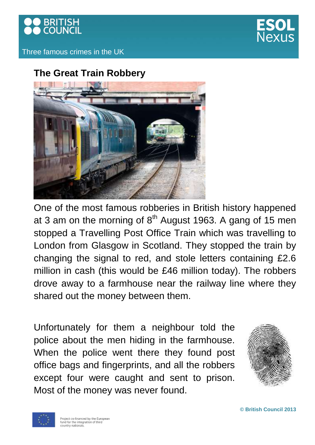



Three famous crimes in the UK

# **The Great Train Robbery**



One of the most famous robberies in British history happened at 3 am on the morning of  $8<sup>th</sup>$  August 1963. A gang of 15 men stopped a Travelling Post Office Train which was travelling to London from Glasgow in Scotland. They stopped the train by changing the signal to red, and stole letters containing £2.6 million in cash (this would be £46 million today). The robbers drove away to a farmhouse near the railway line where they shared out the money between them.

Unfortunately for them a neighbour told the police about the men hiding in the farmhouse. When the police went there they found post office bags and fingerprints, and all the robbers except four were caught and sent to prison. Most of the money was never found.





**© British Council 2013**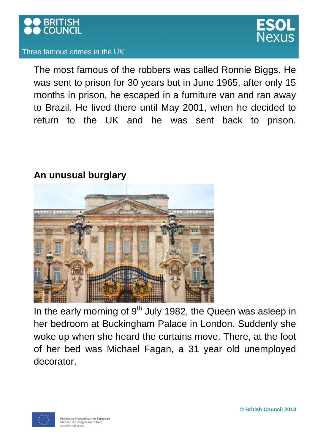

### Three famous crimes in the UK

The most famous of the robbers was called Ronnie Biggs. He was sent to prison for 30 years but in June 1965, after only 15 months in prison, he escaped in a furniture van and ran away to Brazil. He lived there until May 2001, when he decided to return to the UK and he was sent back to prison.

### **An unusual burglary**



In the early morning of  $9<sup>th</sup>$  July 1982, the Queen was asleep in her bedroom at Buckingham Palace in London. Suddenly she woke up when she heard the curtains move. There, at the foot of her bed was Michael Fagan, a 31 year old unemployed decorator.

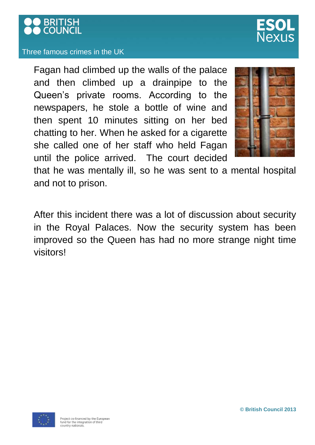

#### Three famous crimes in the UK

Fagan had climbed up the walls of the palace and then climbed up a drainpipe to the Queen's private rooms. According to the newspapers, he stole a bottle of wine and then spent 10 minutes sitting on her bed chatting to her. When he asked for a cigarette she called one of her staff who held Fagan until the police arrived. The court decided



that he was mentally ill, so he was sent to a mental hospital and not to prison.

After this incident there was a lot of discussion about security in the Royal Palaces. Now the security system has been improved so the Queen has had no more strange night time visitors!